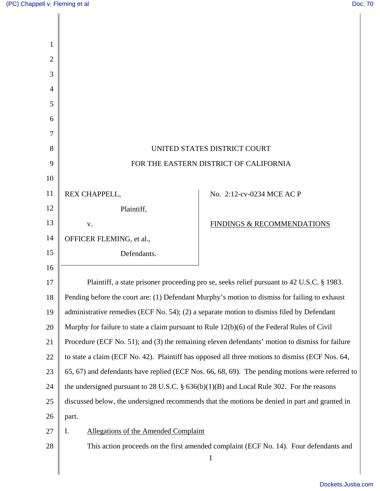|                                                                                               | UNITED STATES DISTRICT COURT                                                                    |
|-----------------------------------------------------------------------------------------------|-------------------------------------------------------------------------------------------------|
| FOR THE EASTERN DISTRICT OF CALIFORNIA                                                        |                                                                                                 |
|                                                                                               |                                                                                                 |
| REX CHAPPELL,                                                                                 | No. 2:12-cv-0234 MCE AC P                                                                       |
| Plaintiff,                                                                                    |                                                                                                 |
| V.                                                                                            | FINDINGS & RECOMMENDATIONS                                                                      |
| OFFICER FLEMING, et al.,                                                                      |                                                                                                 |
| Defendants.                                                                                   |                                                                                                 |
|                                                                                               |                                                                                                 |
|                                                                                               | Plaintiff, a state prisoner proceeding pro se, seeks relief pursuant to 42 U.S.C. § 1983.       |
|                                                                                               | Pending before the court are: (1) Defendant Murphy's motion to dismiss for failing to exhaust   |
| administrative remedies (ECF No. 54); (2) a separate motion to dismiss filed by Defendant     |                                                                                                 |
| Murphy for failure to state a claim pursuant to Rule $12(b)(6)$ of the Federal Rules of Civil |                                                                                                 |
|                                                                                               | Procedure (ECF No. 51); and (3) the remaining eleven defendants' motion to dismiss for failure  |
|                                                                                               | to state a claim (ECF No. 42). Plaintiff has opposed all three motions to dismiss (ECF Nos. 64, |
|                                                                                               | 65, 67) and defendants have replied (ECF Nos. 66, 68, 69). The pending motions were referred to |
| the undersigned pursuant to 28 U.S.C. $\S$ 636(b)(1)(B) and Local Rule 302. For the reasons   |                                                                                                 |
|                                                                                               | discussed below, the undersigned recommends that the motions be denied in part and granted in   |
| part.                                                                                         |                                                                                                 |
| I.<br><b>Allegations of the Amended Complaint</b>                                             |                                                                                                 |
|                                                                                               | This action proceeds on the first amended complaint (ECF No. 14). Four defendants and           |
|                                                                                               | $\mathbf{1}$                                                                                    |
|                                                                                               |                                                                                                 |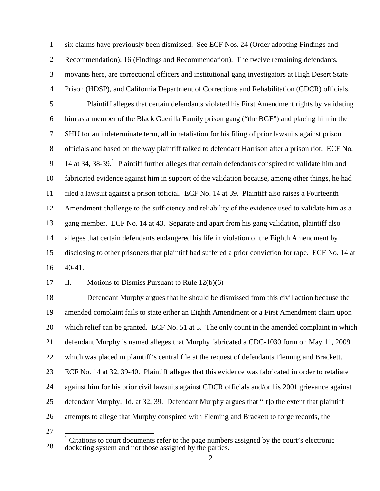1 2 3 4 six claims have previously been dismissed. See ECF Nos. 24 (Order adopting Findings and Recommendation); 16 (Findings and Recommendation). The twelve remaining defendants, movants here, are correctional officers and institutional gang investigators at High Desert State Prison (HDSP), and California Department of Corrections and Rehabilitation (CDCR) officials.

5 6 7 8 9 10 11 12 13 14 15 16 Plaintiff alleges that certain defendants violated his First Amendment rights by validating him as a member of the Black Guerilla Family prison gang ("the BGF") and placing him in the SHU for an indeterminate term, all in retaliation for his filing of prior lawsuits against prison officials and based on the way plaintiff talked to defendant Harrison after a prison riot. ECF No. 14 at 34, 38-39.<sup>1</sup> Plaintiff further alleges that certain defendants conspired to validate him and fabricated evidence against him in support of the validation because, among other things, he had filed a lawsuit against a prison official. ECF No. 14 at 39. Plaintiff also raises a Fourteenth Amendment challenge to the sufficiency and reliability of the evidence used to validate him as a gang member. ECF No. 14 at 43. Separate and apart from his gang validation, plaintiff also alleges that certain defendants endangered his life in violation of the Eighth Amendment by disclosing to other prisoners that plaintiff had suffered a prior conviction for rape. ECF No. 14 at 40-41.

17

## II. Motions to Dismiss Pursuant to Rule  $12(b)(6)$

18 19 20 21 22 23 24 25 26 Defendant Murphy argues that he should be dismissed from this civil action because the amended complaint fails to state either an Eighth Amendment or a First Amendment claim upon which relief can be granted. ECF No. 51 at 3. The only count in the amended complaint in which defendant Murphy is named alleges that Murphy fabricated a CDC-1030 form on May 11, 2009 which was placed in plaintiff's central file at the request of defendants Fleming and Brackett. ECF No. 14 at 32, 39-40. Plaintiff alleges that this evidence was fabricated in order to retaliate against him for his prior civil lawsuits against CDCR officials and/or his 2001 grievance against defendant Murphy. Id. at 32, 39. Defendant Murphy argues that "[t]o the extent that plaintiff attempts to allege that Murphy conspired with Fleming and Brackett to forge records, the

<sup>27</sup> 

<sup>28</sup>  <sup>1</sup> Citations to court documents refer to the page numbers assigned by the court's electronic docketing system and not those assigned by the parties.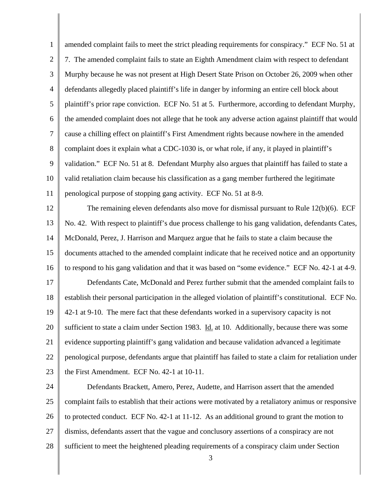1 2 3 4 5 6 7 8 9 10 11 12 13 14 15 16 17 18 19 20 21 22 23 24 25 26 amended complaint fails to meet the strict pleading requirements for conspiracy." ECF No. 51 at 7. The amended complaint fails to state an Eighth Amendment claim with respect to defendant Murphy because he was not present at High Desert State Prison on October 26, 2009 when other defendants allegedly placed plaintiff's life in danger by informing an entire cell block about plaintiff's prior rape conviction. ECF No. 51 at 5. Furthermore, according to defendant Murphy, the amended complaint does not allege that he took any adverse action against plaintiff that would cause a chilling effect on plaintiff's First Amendment rights because nowhere in the amended complaint does it explain what a CDC-1030 is, or what role, if any, it played in plaintiff's validation." ECF No. 51 at 8. Defendant Murphy also argues that plaintiff has failed to state a valid retaliation claim because his classification as a gang member furthered the legitimate penological purpose of stopping gang activity. ECF No. 51 at 8-9. The remaining eleven defendants also move for dismissal pursuant to Rule 12(b)(6). ECF No. 42. With respect to plaintiff's due process challenge to his gang validation, defendants Cates, McDonald, Perez, J. Harrison and Marquez argue that he fails to state a claim because the documents attached to the amended complaint indicate that he received notice and an opportunity to respond to his gang validation and that it was based on "some evidence." ECF No. 42-1 at 4-9. Defendants Cate, McDonald and Perez further submit that the amended complaint fails to establish their personal participation in the alleged violation of plaintiff's constitutional. ECF No. 42-1 at 9-10. The mere fact that these defendants worked in a supervisory capacity is not sufficient to state a claim under Section 1983. Id. at 10. Additionally, because there was some evidence supporting plaintiff's gang validation and because validation advanced a legitimate penological purpose, defendants argue that plaintiff has failed to state a claim for retaliation under the First Amendment. ECF No. 42-1 at 10-11. Defendants Brackett, Amero, Perez, Audette, and Harrison assert that the amended complaint fails to establish that their actions were motivated by a retaliatory animus or responsive to protected conduct. ECF No. 42-1 at 11-12. As an additional ground to grant the motion to

- 27 dismiss, defendants assert that the vague and conclusory assertions of a conspiracy are not
- 28 sufficient to meet the heightened pleading requirements of a conspiracy claim under Section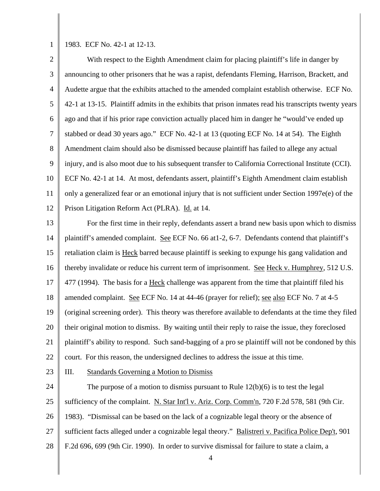1

1983. ECF No. 42-1 at 12-13.

2 3 4 5 6 7 8 9 10 11 12 13 With respect to the Eighth Amendment claim for placing plaintiff's life in danger by announcing to other prisoners that he was a rapist, defendants Fleming, Harrison, Brackett, and Audette argue that the exhibits attached to the amended complaint establish otherwise. ECF No. 42-1 at 13-15. Plaintiff admits in the exhibits that prison inmates read his transcripts twenty years ago and that if his prior rape conviction actually placed him in danger he "would've ended up stabbed or dead 30 years ago." ECF No. 42-1 at 13 (quoting ECF No. 14 at 54). The Eighth Amendment claim should also be dismissed because plaintiff has failed to allege any actual injury, and is also moot due to his subsequent transfer to California Correctional Institute (CCI). ECF No. 42-1 at 14. At most, defendants assert, plaintiff's Eighth Amendment claim establish only a generalized fear or an emotional injury that is not sufficient under Section 1997e(e) of the Prison Litigation Reform Act (PLRA). Id. at 14. For the first time in their reply, defendants assert a brand new basis upon which to dismiss

14 15 16 17 18 19 20 21 22 plaintiff's amended complaint. See ECF No. 66 at1-2, 6-7. Defendants contend that plaintiff's retaliation claim is Heck barred because plaintiff is seeking to expunge his gang validation and thereby invalidate or reduce his current term of imprisonment. See Heck v. Humphrey, 512 U.S. 477 (1994). The basis for a Heck challenge was apparent from the time that plaintiff filed his amended complaint. See ECF No. 14 at 44-46 (prayer for relief); see also ECF No. 7 at 4-5 (original screening order). This theory was therefore available to defendants at the time they filed their original motion to dismiss. By waiting until their reply to raise the issue, they foreclosed plaintiff's ability to respond. Such sand-bagging of a pro se plaintiff will not be condoned by this court. For this reason, the undersigned declines to address the issue at this time.

23

III. Standards Governing a Motion to Dismiss

24 25 26 27 28 The purpose of a motion to dismiss pursuant to Rule  $12(b)(6)$  is to test the legal sufficiency of the complaint. N. Star Int'l v. Ariz. Corp. Comm'n, 720 F.2d 578, 581 (9th Cir. 1983). "Dismissal can be based on the lack of a cognizable legal theory or the absence of sufficient facts alleged under a cognizable legal theory." Balistreri v. Pacifica Police Dep't, 901 F.2d 696, 699 (9th Cir. 1990). In order to survive dismissal for failure to state a claim, a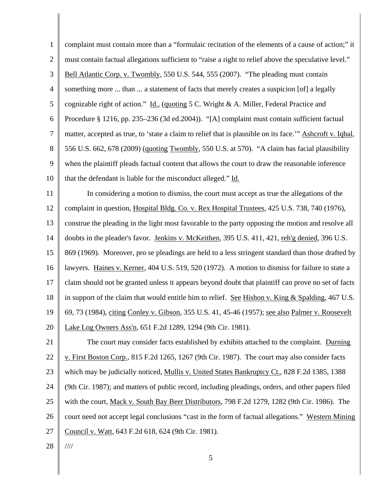1 2 3 4 5 6 7 8 9 10 11 12 13 14 15 16 17 18 19 20 21 22 23 24 25 26 27 28 complaint must contain more than a "formulaic recitation of the elements of a cause of action;" it must contain factual allegations sufficient to "raise a right to relief above the speculative level." Bell Atlantic Corp. v. Twombly, 550 U.S. 544, 555 (2007). "The pleading must contain something more ... than ... a statement of facts that merely creates a suspicion [of] a legally cognizable right of action." Id., (quoting 5 C. Wright & A. Miller, Federal Practice and Procedure § 1216, pp. 235–236 (3d ed.2004)). "[A] complaint must contain sufficient factual matter, accepted as true, to 'state a claim to relief that is plausible on its face.'" Ashcroft v. Iqbal, 556 U.S. 662, 678 (2009) (quoting Twombly, 550 U.S. at 570). "A claim has facial plausibility when the plaintiff pleads factual content that allows the court to draw the reasonable inference that the defendant is liable for the misconduct alleged." Id. In considering a motion to dismiss, the court must accept as true the allegations of the complaint in question, Hospital Bldg. Co. v. Rex Hospital Trustees, 425 U.S. 738, 740 (1976), construe the pleading in the light most favorable to the party opposing the motion and resolve all doubts in the pleader's favor. Jenkins v. McKeithen, 395 U.S. 411, 421, reh'g denied, 396 U.S. 869 (1969). Moreover, pro se pleadings are held to a less stringent standard than those drafted by lawyers. Haines v. Kerner, 404 U.S. 519, 520 (1972). A motion to dismiss for failure to state a claim should not be granted unless it appears beyond doubt that plaintiff can prove no set of facts in support of the claim that would entitle him to relief. See Hishon v. King & Spalding, 467 U.S. 69, 73 (1984), citing Conley v. Gibson, 355 U.S. 41, 45-46 (1957); see also Palmer v. Roosevelt Lake Log Owners Ass'n, 651 F.2d 1289, 1294 (9th Cir. 1981). The court may consider facts established by exhibits attached to the complaint. Durning v. First Boston Corp., 815 F.2d 1265, 1267 (9th Cir. 1987). The court may also consider facts which may be judicially noticed, Mullis v. United States Bankruptcy Ct., 828 F.2d 1385, 1388 (9th Cir. 1987); and matters of public record, including pleadings, orders, and other papers filed with the court, Mack v. South Bay Beer Distributors, 798 F.2d 1279, 1282 (9th Cir. 1986). The court need not accept legal conclusions "cast in the form of factual allegations." Western Mining Council v. Watt, 643 F.2d 618, 624 (9th Cir. 1981). ////

5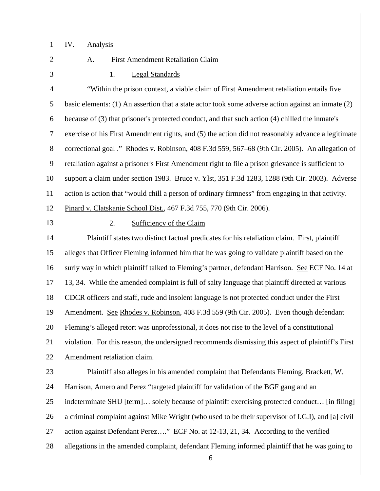1

# IV. Analysis

2 3

# A. First Amendment Retaliation Claim

1. Legal Standards

4 5 6 7 8 9 10 11 12 "Within the prison context, a viable claim of First Amendment retaliation entails five basic elements: (1) An assertion that a state actor took some adverse action against an inmate (2) because of (3) that prisoner's protected conduct, and that such action (4) chilled the inmate's exercise of his First Amendment rights, and (5) the action did not reasonably advance a legitimate correctional goal ." Rhodes v. Robinson, 408 F.3d 559, 567–68 (9th Cir. 2005). An allegation of retaliation against a prisoner's First Amendment right to file a prison grievance is sufficient to support a claim under section 1983. Bruce v. Ylst, 351 F.3d 1283, 1288 (9th Cir. 2003). Adverse action is action that "would chill a person of ordinary firmness" from engaging in that activity. Pinard v. Clatskanie School Dist., 467 F.3d 755, 770 (9th Cir. 2006).

13

#### 2. Sufficiency of the Claim

14 15 16 17 18 19 20 21 22 Plaintiff states two distinct factual predicates for his retaliation claim. First, plaintiff alleges that Officer Fleming informed him that he was going to validate plaintiff based on the surly way in which plaintiff talked to Fleming's partner, defendant Harrison. See ECF No. 14 at 13, 34. While the amended complaint is full of salty language that plaintiff directed at various CDCR officers and staff, rude and insolent language is not protected conduct under the First Amendment. See Rhodes v. Robinson, 408 F.3d 559 (9th Cir. 2005). Even though defendant Fleming's alleged retort was unprofessional, it does not rise to the level of a constitutional violation. For this reason, the undersigned recommends dismissing this aspect of plaintiff's First Amendment retaliation claim.

23 24 25 26 27 28 Plaintiff also alleges in his amended complaint that Defendants Fleming, Brackett, W. Harrison, Amero and Perez "targeted plaintiff for validation of the BGF gang and an indeterminate SHU [term]… solely because of plaintiff exercising protected conduct… [in filing] a criminal complaint against Mike Wright (who used to be their supervisor of I.G.I), and [a] civil action against Defendant Perez…." ECF No. at 12-13, 21, 34. According to the verified allegations in the amended complaint, defendant Fleming informed plaintiff that he was going to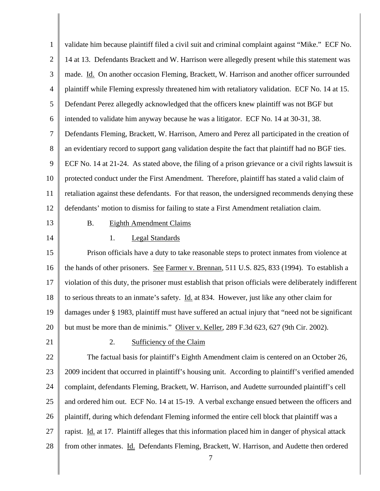| $\mathbf{1}$   | validate him because plaintiff filed a civil suit and criminal complaint against "Mike." ECF No.        |
|----------------|---------------------------------------------------------------------------------------------------------|
| $\overline{2}$ | 14 at 13. Defendants Brackett and W. Harrison were allegedly present while this statement was           |
| 3              | made. Id. On another occasion Fleming, Brackett, W. Harrison and another officer surrounded             |
| $\overline{4}$ | plaintiff while Fleming expressly threatened him with retaliatory validation. ECF No. 14 at 15.         |
| 5              | Defendant Perez allegedly acknowledged that the officers knew plaintiff was not BGF but                 |
| 6              | intended to validate him anyway because he was a litigator. ECF No. 14 at 30-31, 38.                    |
| $\tau$         | Defendants Fleming, Brackett, W. Harrison, Amero and Perez all participated in the creation of          |
| $8\,$          | an evidentiary record to support gang validation despite the fact that plaintiff had no BGF ties.       |
| 9              | ECF No. 14 at 21-24. As stated above, the filing of a prison grievance or a civil rights lawsuit is     |
| 10             | protected conduct under the First Amendment. Therefore, plaintiff has stated a valid claim of           |
| 11             | retaliation against these defendants. For that reason, the undersigned recommends denying these         |
| 12             | defendants' motion to dismiss for failing to state a First Amendment retaliation claim.                 |
| 13             | <b>Eighth Amendment Claims</b><br><b>B.</b>                                                             |
| 14             | <b>Legal Standards</b><br>1.                                                                            |
| 15             | Prison officials have a duty to take reasonable steps to protect inmates from violence at               |
| 16             | the hands of other prisoners. See Farmer v. Brennan, 511 U.S. 825, 833 (1994). To establish a           |
| 17             | violation of this duty, the prisoner must establish that prison officials were deliberately indifferent |
| 18             | to serious threats to an inmate's safety. Id. at 834. However, just like any other claim for            |
| 19             | damages under § 1983, plaintiff must have suffered an actual injury that "need not be significant       |
| 20             | but must be more than de minimis." Oliver v. Keller, 289 F.3d 623, 627 (9th Cir. 2002).                 |
| 21             | 2.<br>Sufficiency of the Claim                                                                          |
| 22             | The factual basis for plaintiff's Eighth Amendment claim is centered on an October 26,                  |
| 23             | 2009 incident that occurred in plaintiff's housing unit. According to plaintiff's verified amended      |
| 24             | complaint, defendants Fleming, Brackett, W. Harrison, and Audette surrounded plaintiff's cell           |
| 25             | and ordered him out. ECF No. 14 at 15-19. A verbal exchange ensued between the officers and             |
| 26             | plaintiff, during which defendant Fleming informed the entire cell block that plaintiff was a           |
| 27             | rapist. Id. at 17. Plaintiff alleges that this information placed him in danger of physical attack      |
| 28             | from other inmates. Id. Defendants Fleming, Brackett, W. Harrison, and Audette then ordered<br>7        |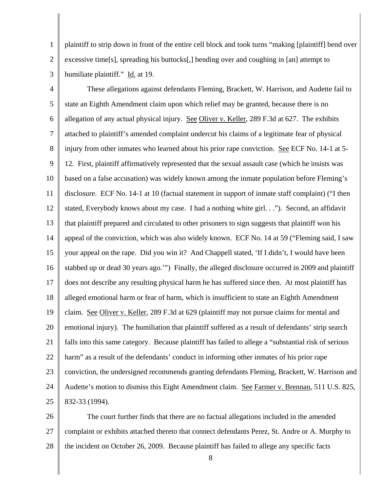1 2 3 plaintiff to strip down in front of the entire cell block and took turns "making [plaintiff] bend over excessive time[s], spreading his buttocks[,] bending over and coughing in [an] attempt to humiliate plaintiff." Id. at 19.

4 5 6 7 8 9 10 11 12 13 14 15 16 17 18 19 20 21 22 23 24 25 These allegations against defendants Fleming, Brackett, W. Harrison, and Audette fail to state an Eighth Amendment claim upon which relief may be granted, because there is no allegation of any actual physical injury. See Oliver v. Keller, 289 F.3d at 627. The exhibits attached to plaintiff's amended complaint undercut his claims of a legitimate fear of physical injury from other inmates who learned about his prior rape conviction. See ECF No. 14-1 at 5- 12. First, plaintiff affirmatively represented that the sexual assault case (which he insists was based on a false accusation) was widely known among the inmate population before Fleming's disclosure. ECF No. 14-1 at 10 (factual statement in support of inmate staff complaint) ("I then stated, Everybody knows about my case. I had a nothing white girl. . ."). Second, an affidavit that plaintiff prepared and circulated to other prisoners to sign suggests that plaintiff won his appeal of the conviction, which was also widely known. ECF No. 14 at 59 ("Fleming said, I saw your appeal on the rape. Did you win it? And Chappell stated, 'If I didn't, I would have been stabbed up or dead 30 years ago.'") Finally, the alleged disclosure occurred in 2009 and plaintiff does not describe any resulting physical harm he has suffered since then. At most plaintiff has alleged emotional harm or fear of harm, which is insufficient to state an Eighth Amendment claim. See Oliver v. Keller, 289 F.3d at 629 (plaintiff may not pursue claims for mental and emotional injury). The humiliation that plaintiff suffered as a result of defendants' strip search falls into this same category. Because plaintiff has failed to allege a "substantial risk of serious harm" as a result of the defendants' conduct in informing other inmates of his prior rape conviction, the undersigned recommends granting defendants Fleming, Brackett, W. Harrison and Audette's motion to dismiss this Eight Amendment claim. See Farmer v. Brennan, 511 U.S. 825, 832-33 (1994).

26 27 28 The court further finds that there are no factual allegations included in the amended complaint or exhibits attached thereto that connect defendants Perez, St. Andre or A. Murphy to the incident on October 26, 2009. Because plaintiff has failed to allege any specific facts

8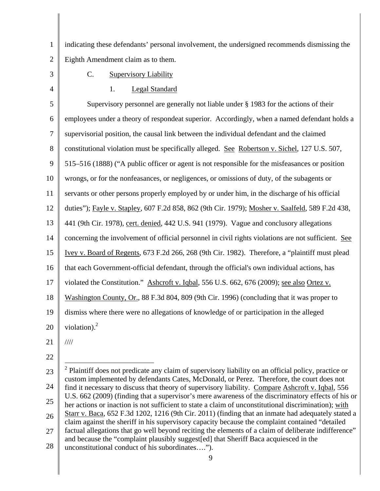1 2 indicating these defendants' personal involvement, the undersigned recommends dismissing the Eighth Amendment claim as to them.

3

C. Supervisory Liability

4

1. Legal Standard

5 6 7 8 9 10 11 12 13 14 15 16 17 18 19 20 Supervisory personnel are generally not liable under § 1983 for the actions of their employees under a theory of respondeat superior. Accordingly, when a named defendant holds a supervisorial position, the causal link between the individual defendant and the claimed constitutional violation must be specifically alleged. See Robertson v. Sichel, 127 U.S. 507, 515–516 (1888) ("A public officer or agent is not responsible for the misfeasances or position wrongs, or for the nonfeasances, or negligences, or omissions of duty, of the subagents or servants or other persons properly employed by or under him, in the discharge of his official duties"); Fayle v. Stapley, 607 F.2d 858, 862 (9th Cir. 1979); Mosher v. Saalfeld, 589 F.2d 438, 441 (9th Cir. 1978), cert. denied, 442 U.S. 941 (1979). Vague and conclusory allegations concerning the involvement of official personnel in civil rights violations are not sufficient. See Ivey v. Board of Regents, 673 F.2d 266, 268 (9th Cir. 1982). Therefore, a "plaintiff must plead that each Government-official defendant, through the official's own individual actions, has violated the Constitution." Ashcroft v. Iqbal, 556 U.S. 662, 676 (2009); see also Ortez v. Washington County, Or., 88 F.3d 804, 809 (9th Cir. 1996) (concluding that it was proper to dismiss where there were no allegations of knowledge of or participation in the alleged violation). $^{2}$ 

21 ////

22

23 24 25 26 27 <sup>2</sup> Plaintiff does not predicate any claim of supervisory liability on an official policy, practice or custom implemented by defendants Cates, McDonald, or Perez. Therefore, the court does not find it necessary to discuss that theory of supervisory liability. Compare Ashcroft v. Iqbal, 556 U.S. 662 (2009) (finding that a supervisor's mere awareness of the discriminatory effects of his or her actions or inaction is not sufficient to state a claim of unconstitutional discrimination); with Starr v. Baca, 652 F.3d 1202, 1216 (9th Cir. 2011) (finding that an inmate had adequately stated a claim against the sheriff in his supervisory capacity because the complaint contained "detailed factual allegations that go well beyond reciting the elements of a claim of deliberate indifference" and because the "complaint plausibly suggest[ed] that Sheriff Baca acquiesced in the

28 unconstitutional conduct of his subordinates….").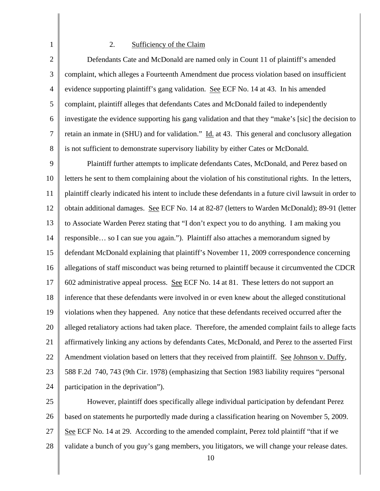## 2. Sufficiency of the Claim

1

2 3 4 5 6 7 8 Defendants Cate and McDonald are named only in Count 11 of plaintiff's amended complaint, which alleges a Fourteenth Amendment due process violation based on insufficient evidence supporting plaintiff's gang validation. See ECF No. 14 at 43. In his amended complaint, plaintiff alleges that defendants Cates and McDonald failed to independently investigate the evidence supporting his gang validation and that they "make's [sic] the decision to retain an inmate in (SHU) and for validation." Id. at 43. This general and conclusory allegation is not sufficient to demonstrate supervisory liability by either Cates or McDonald.

9 10 11 12 13 14 15 16 17 18 19 20 21 22 23 24 Plaintiff further attempts to implicate defendants Cates, McDonald, and Perez based on letters he sent to them complaining about the violation of his constitutional rights. In the letters, plaintiff clearly indicated his intent to include these defendants in a future civil lawsuit in order to obtain additional damages. See ECF No. 14 at 82-87 (letters to Warden McDonald); 89-91 (letter to Associate Warden Perez stating that "I don't expect you to do anything. I am making you responsible… so I can sue you again."). Plaintiff also attaches a memorandum signed by defendant McDonald explaining that plaintiff's November 11, 2009 correspondence concerning allegations of staff misconduct was being returned to plaintiff because it circumvented the CDCR 602 administrative appeal process. See ECF No. 14 at 81. These letters do not support an inference that these defendants were involved in or even knew about the alleged constitutional violations when they happened. Any notice that these defendants received occurred after the alleged retaliatory actions had taken place. Therefore, the amended complaint fails to allege facts affirmatively linking any actions by defendants Cates, McDonald, and Perez to the asserted First Amendment violation based on letters that they received from plaintiff. See Johnson v. Duffy, 588 F.2d 740, 743 (9th Cir. 1978) (emphasizing that Section 1983 liability requires "personal participation in the deprivation").

25 26 27 28 However, plaintiff does specifically allege individual participation by defendant Perez based on statements he purportedly made during a classification hearing on November 5, 2009. See ECF No. 14 at 29. According to the amended complaint, Perez told plaintiff "that if we validate a bunch of you guy's gang members, you litigators, we will change your release dates.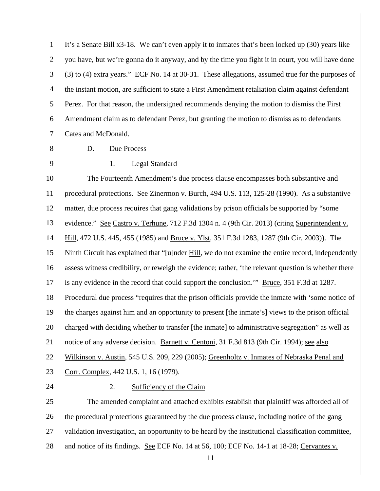1 2 3 4 5 6 7 It's a Senate Bill x3-18. We can't even apply it to inmates that's been locked up (30) years like you have, but we're gonna do it anyway, and by the time you fight it in court, you will have done (3) to (4) extra years." ECF No. 14 at 30-31. These allegations, assumed true for the purposes of the instant motion, are sufficient to state a First Amendment retaliation claim against defendant Perez. For that reason, the undersigned recommends denying the motion to dismiss the First Amendment claim as to defendant Perez, but granting the motion to dismiss as to defendants Cates and McDonald.

- 8
- D. Due Process
- 9

# 1. Legal Standard

10 11 12 13 14 15 16 17 18 19 20 21 22 23 The Fourteenth Amendment's due process clause encompasses both substantive and procedural protections. See Zinermon v. Burch, 494 U.S. 113, 125-28 (1990). As a substantive matter, due process requires that gang validations by prison officials be supported by "some evidence." See Castro v. Terhune, 712 F.3d 1304 n. 4 (9th Cir. 2013) (citing Superintendent v. Hill, 472 U.S. 445, 455 (1985) and Bruce v. Ylst, 351 F.3d 1283, 1287 (9th Cir. 2003)). The Ninth Circuit has explained that "[u]nder Hill, we do not examine the entire record, independently assess witness credibility, or reweigh the evidence; rather, 'the relevant question is whether there is any evidence in the record that could support the conclusion.'" Bruce, 351 F.3d at 1287. Procedural due process "requires that the prison officials provide the inmate with 'some notice of the charges against him and an opportunity to present [the inmate's] views to the prison official charged with deciding whether to transfer [the inmate] to administrative segregation" as well as notice of any adverse decision. Barnett v. Centoni, 31 F.3d 813 (9th Cir. 1994); see also Wilkinson v. Austin, 545 U.S. 209, 229 (2005); Greenholtz v. Inmates of Nebraska Penal and Corr. Complex, 442 U.S. 1, 16 (1979).

24

## 2. Sufficiency of the Claim

25 26 27 28 The amended complaint and attached exhibits establish that plaintiff was afforded all of the procedural protections guaranteed by the due process clause, including notice of the gang validation investigation, an opportunity to be heard by the institutional classification committee, and notice of its findings. See ECF No. 14 at 56, 100; ECF No. 14-1 at 18-28; Cervantes v.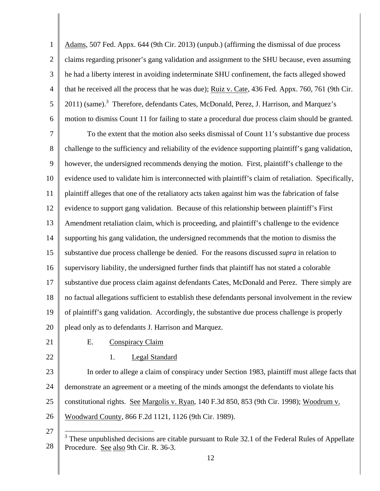1 2 3 4 5 6 Adams, 507 Fed. Appx. 644 (9th Cir. 2013) (unpub.) (affirming the dismissal of due process claims regarding prisoner's gang validation and assignment to the SHU because, even assuming he had a liberty interest in avoiding indeterminate SHU confinement, the facts alleged showed that he received all the process that he was due); Ruiz v. Cate, 436 Fed. Appx. 760, 761 (9th Cir. 2011) (same).<sup>3</sup> Therefore, defendants Cates, McDonald, Perez, J. Harrison, and Marquez's motion to dismiss Count 11 for failing to state a procedural due process claim should be granted.

7 8 9 10 11 12 13 14 15 16 17 18 19 20 To the extent that the motion also seeks dismissal of Count 11's substantive due process challenge to the sufficiency and reliability of the evidence supporting plaintiff's gang validation, however, the undersigned recommends denying the motion. First, plaintiff's challenge to the evidence used to validate him is interconnected with plaintiff's claim of retaliation. Specifically, plaintiff alleges that one of the retaliatory acts taken against him was the fabrication of false evidence to support gang validation. Because of this relationship between plaintiff's First Amendment retaliation claim, which is proceeding, and plaintiff's challenge to the evidence supporting his gang validation, the undersigned recommends that the motion to dismiss the substantive due process challenge be denied. For the reasons discussed *supra* in relation to supervisory liability, the undersigned further finds that plaintiff has not stated a colorable substantive due process claim against defendants Cates, McDonald and Perez. There simply are no factual allegations sufficient to establish these defendants personal involvement in the review of plaintiff's gang validation. Accordingly, the substantive due process challenge is properly plead only as to defendants J. Harrison and Marquez.

21

22

## E. Conspiracy Claim

1. Legal Standard

23 24 25 26 In order to allege a claim of conspiracy under Section 1983, plaintiff must allege facts that demonstrate an agreement or a meeting of the minds amongst the defendants to violate his constitutional rights. See Margolis v. Ryan, 140 F.3d 850, 853 (9th Cir. 1998); Woodrum v. Woodward County, 866 F.2d 1121, 1126 (9th Cir. 1989).

<sup>27</sup>  28  $\overline{\phantom{a}}$  $3$  These unpublished decisions are citable pursuant to Rule 32.1 of the Federal Rules of Appellate Procedure. See also 9th Cir. R. 36-3.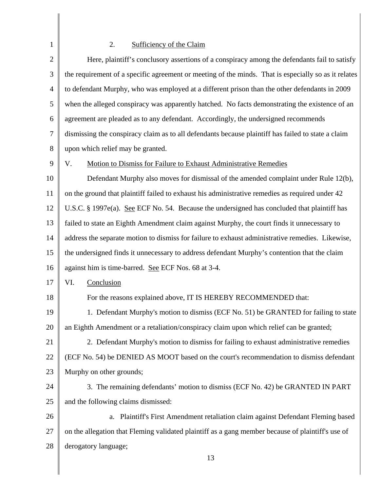# 2. Sufficiency of the Claim

1

∥

| $\mathbf{2}$   | Here, plaintiff's conclusory assertions of a conspiracy among the defendants fail to satisfy         |
|----------------|------------------------------------------------------------------------------------------------------|
| 3              | the requirement of a specific agreement or meeting of the minds. That is especially so as it relates |
| $\overline{4}$ | to defendant Murphy, who was employed at a different prison than the other defendants in 2009        |
| 5              | when the alleged conspiracy was apparently hatched. No facts demonstrating the existence of an       |
| 6              | agreement are pleaded as to any defendant. Accordingly, the undersigned recommends                   |
| $\tau$         | dismissing the conspiracy claim as to all defendants because plaintiff has failed to state a claim   |
| 8              | upon which relief may be granted.                                                                    |
| $\mathbf{9}$   | Motion to Dismiss for Failure to Exhaust Administrative Remedies<br>V.                               |
| 10             | Defendant Murphy also moves for dismissal of the amended complaint under Rule 12(b),                 |
| 11             | on the ground that plaintiff failed to exhaust his administrative remedies as required under 42      |
| 12             | U.S.C. § 1997e(a). See ECF No. 54. Because the undersigned has concluded that plaintiff has          |
| 13             | failed to state an Eighth Amendment claim against Murphy, the court finds it unnecessary to          |
| 14             | address the separate motion to dismiss for failure to exhaust administrative remedies. Likewise,     |
| 15             | the undersigned finds it unnecessary to address defendant Murphy's contention that the claim         |
| 16             | against him is time-barred. See ECF Nos. 68 at 3-4.                                                  |
| 17             | VI.<br>Conclusion                                                                                    |
| 18             | For the reasons explained above, IT IS HEREBY RECOMMENDED that:                                      |
| 19             | 1. Defendant Murphy's motion to dismiss (ECF No. 51) be GRANTED for failing to state                 |
| 20             | an Eighth Amendment or a retaliation/conspiracy claim upon which relief can be granted;              |
| 21             | 2. Defendant Murphy's motion to dismiss for failing to exhaust administrative remedies               |
| 22             | (ECF No. 54) be DENIED AS MOOT based on the court's recommendation to dismiss defendant              |
| 23             | Murphy on other grounds;                                                                             |
| 24             | 3. The remaining defendants' motion to dismiss (ECF No. 42) be GRANTED IN PART                       |
| 25             | and the following claims dismissed:                                                                  |
| 26             | Plaintiff's First Amendment retaliation claim against Defendant Fleming based<br>a.                  |
| 27             | on the allegation that Fleming validated plaintiff as a gang member because of plaintiff's use of    |
| 28             | derogatory language;                                                                                 |
|                | 13                                                                                                   |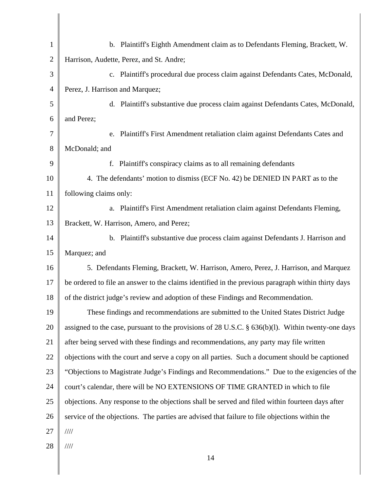| $\mathbf{1}$   | b. Plaintiff's Eighth Amendment claim as to Defendants Fleming, Brackett, W.                           |
|----------------|--------------------------------------------------------------------------------------------------------|
| $\overline{2}$ | Harrison, Audette, Perez, and St. Andre;                                                               |
| 3              | c. Plaintiff's procedural due process claim against Defendants Cates, McDonald,                        |
| $\overline{4}$ | Perez, J. Harrison and Marquez;                                                                        |
| 5              | d. Plaintiff's substantive due process claim against Defendants Cates, McDonald,                       |
| 6              | and Perez;                                                                                             |
| 7              | e. Plaintiff's First Amendment retaliation claim against Defendants Cates and                          |
| 8              | McDonald; and                                                                                          |
| 9              | Plaintiff's conspiracy claims as to all remaining defendants<br>f.                                     |
| 10             | 4. The defendants' motion to dismiss (ECF No. 42) be DENIED IN PART as to the                          |
| 11             | following claims only:                                                                                 |
| 12             | a. Plaintiff's First Amendment retaliation claim against Defendants Fleming,                           |
| 13             | Brackett, W. Harrison, Amero, and Perez;                                                               |
| 14             | b. Plaintiff's substantive due process claim against Defendants J. Harrison and                        |
| 15             | Marquez; and                                                                                           |
| 16             | 5. Defendants Fleming, Brackett, W. Harrison, Amero, Perez, J. Harrison, and Marquez                   |
| 17             | be ordered to file an answer to the claims identified in the previous paragraph within thirty days     |
| 18             | of the district judge's review and adoption of these Findings and Recommendation.                      |
| 19             | These findings and recommendations are submitted to the United States District Judge                   |
| 20             | assigned to the case, pursuant to the provisions of $28$ U.S.C. § $636(b)(1)$ . Within twenty-one days |
| 21             | after being served with these findings and recommendations, any party may file written                 |
| 22             | objections with the court and serve a copy on all parties. Such a document should be captioned         |
| 23             | "Objections to Magistrate Judge's Findings and Recommendations." Due to the exigencies of the          |
| 24             | court's calendar, there will be NO EXTENSIONS OF TIME GRANTED in which to file                         |
| 25             | objections. Any response to the objections shall be served and filed within fourteen days after        |
| 26             | service of the objections. The parties are advised that failure to file objections within the          |
| 27             | $\frac{1}{1}$                                                                                          |
| 28             | 1111                                                                                                   |
|                | 14                                                                                                     |